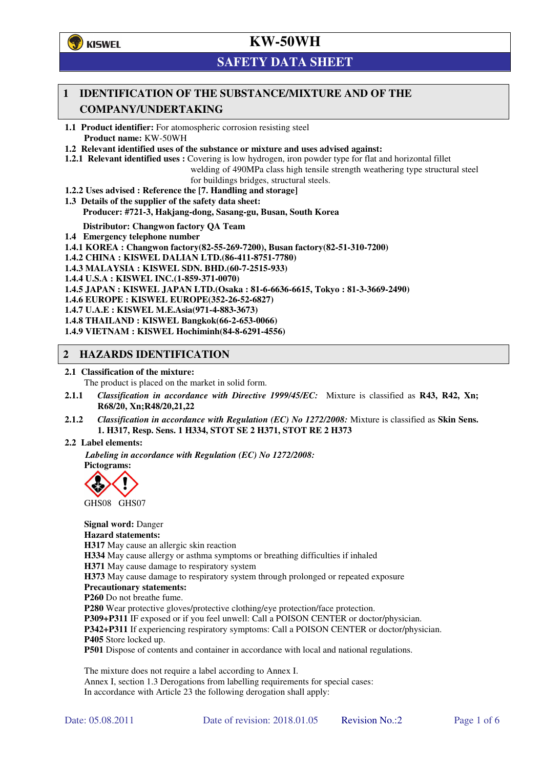

# **SAFETY DATA SHEET**

## **1 IDENTIFICATION OF THE SUBSTANCE/MIXTURE AND OF THE COMPANY/UNDERTAKING**

**1.1 Product identifier:** For atomospheric corrosion resisting steel **Product name:** KW-50WH

**1.2 Relevant identified uses of the substance or mixture and uses advised against:**

**1.2.1 Relevant identified uses :** Covering is low hydrogen, iron powder type for flat and horizontal fillet

welding of 490MPa class high tensile strength weathering type structural steel for buildings bridges, structural steels.

- **1.2.2 Uses advised : Reference the [7. Handling and storage]**
- **1.3 Details of the supplier of the safety data sheet: Producer: #721-3, Hakjang-dong, Sasang-gu, Busan, South Korea**

**Distributor: Changwon factory QA Team** 

- **1.4 Emergency telephone number**
- **1.4.1 KOREA : Changwon factory(82-55-269-7200), Busan factory(82-51-310-7200)**

**1.4.2 CHINA : KISWEL DALIAN LTD.(86-411-8751-7780)** 

**1.4.3 MALAYSIA : KISWEL SDN. BHD.(60-7-2515-933)** 

**1.4.4 U.S.A : KISWEL INC.(1-859-371-0070)** 

**1.4.5 JAPAN : KISWEL JAPAN LTD.(Osaka : 81-6-6636-6615, Tokyo : 81-3-3669-2490)** 

- **1.4.6 EUROPE : KISWEL EUROPE(352-26-52-6827)**
- **1.4.7 U.A.E : KISWEL M.E.Asia(971-4-883-3673)**

**1.4.8 THAILAND : KISWEL Bangkok(66-2-653-0066)** 

**1.4.9 VIETNAM : KISWEL Hochiminh(84-8-6291-4556)** 

### **2 HAZARDS IDENTIFICATION**

### **2.1 Classification of the mixture:**

The product is placed on the market in solid form.

- **2.1.1** *Classification in accordance with Directive 1999/45/EC:* Mixture is classified as **R43, R42, Xn; R68/20, Xn;R48/20,21,22**
- **2.1.2** *Classification in accordance with Regulation (EC) No 1272/2008:* Mixture is classified as **Skin Sens. 1. H317, Resp. Sens. 1 H334, STOT SE 2 H371, STOT RE 2 H373**

### **2.2 Label elements:**

*Labeling in accordance with Regulation (EC) No 1272/2008:*  **Pictograms:** 



GHS08 GHS07

**Signal word:** Danger **Hazard statements: H317** May cause an allergic skin reaction **H334** May cause allergy or asthma symptoms or breathing difficulties if inhaled **H371** May cause damage to respiratory system **H373** May cause damage to respiratory system through prolonged or repeated exposure **Precautionary statements: P260** Do not breathe fume. **P280** Wear protective gloves/protective clothing/eye protection/face protection. **P309+P311** IF exposed or if you feel unwell: Call a POISON CENTER or doctor/physician. **P342+P311** If experiencing respiratory symptoms: Call a POISON CENTER or doctor/physician. **P405** Store locked up. **P501** Dispose of contents and container in accordance with local and national regulations.

The mixture does not require a label according to Annex I. Annex I, section 1.3 Derogations from labelling requirements for special cases: In accordance with Article 23 the following derogation shall apply: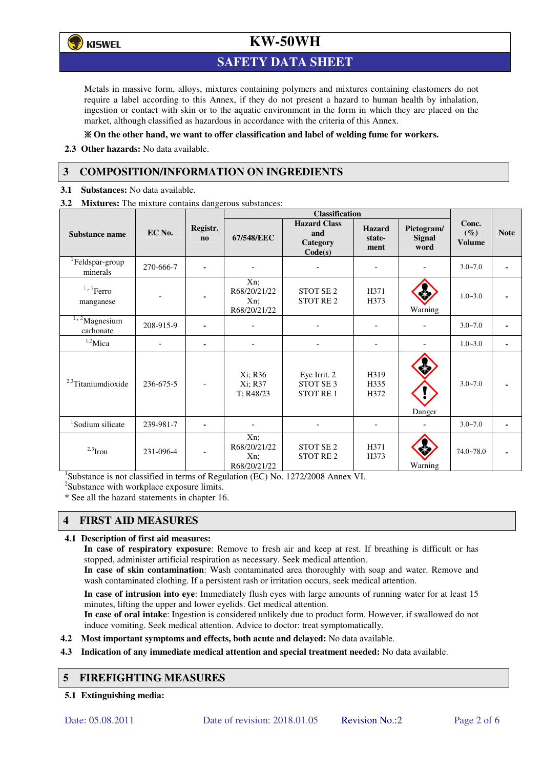

## **SAFETY DATA SHEET**

Metals in massive form, alloys, mixtures containing polymers and mixtures containing elastomers do not require a label according to this Annex, if they do not present a hazard to human health by inhalation, ingestion or contact with skin or to the aquatic environment in the form in which they are placed on the market, although classified as hazardous in accordance with the criteria of this Annex.

### **On the other hand, we want to offer classification and label of welding fume for workers.**

**2.3 Other hazards:** No data available.

## **3 COMPOSITION/INFORMATION ON INGREDIENTS**

**3.1 Substances:** No data available.

**3.2 Mixtures:** The mixture contains dangerous substances:

|                                         |           |                | <b>Classification</b>                         |                                                          |                                 |                                     |                                  |             |
|-----------------------------------------|-----------|----------------|-----------------------------------------------|----------------------------------------------------------|---------------------------------|-------------------------------------|----------------------------------|-------------|
| Substance name                          | EC No.    | Registr.<br>no | 67/548/EEC                                    | <b>Hazard Class</b><br>and<br><b>Category</b><br>Code(s) | <b>Hazard</b><br>state-<br>ment | Pictogram/<br><b>Signal</b><br>word | Conc.<br>$(\%)$<br><b>Volume</b> | <b>Note</b> |
| <sup>1</sup> Feldspar-group<br>minerals | 270-666-7 |                |                                               |                                                          |                                 |                                     | $3.0 - 7.0$                      |             |
| $1,3$ Ferro<br>manganese                |           |                | Xn;<br>R68/20/21/22<br>$Xn$ ;<br>R68/20/21/22 | STOT SE <sub>2</sub><br><b>STOT RE2</b>                  | H371<br>H373                    | Warning                             | $1.0 - 3.0$                      |             |
| $1/2$ Magnesium<br>carbonate            | 208-915-9 |                |                                               |                                                          | $\overline{\phantom{0}}$        |                                     | $3.0 - 7.0$                      |             |
| $1,2$ Mica                              |           | ٠              |                                               |                                                          |                                 |                                     | $1.0 - 3.0$                      |             |
| <sup>2,3</sup> Titaniumdioxide          | 236-675-5 |                | Xi; R36<br>Xi; R37<br>T; R48/23               | Eye Irrit. 2<br>STOT SE <sub>3</sub><br><b>STOT RE1</b>  | H319<br>H335<br>H372            | Danger                              | $3.0 - 7.0$                      |             |
| <sup>1</sup> Sodium silicate            | 239-981-7 |                |                                               |                                                          |                                 |                                     | $3.0 - 7.0$                      |             |
| $2,3$ Iron                              | 231-096-4 |                | Xn;<br>R68/20/21/22<br>Xn<br>R68/20/21/22     | STOT SE <sub>2</sub><br>STOT RE <sub>2</sub>             | H371<br>H373                    | Warning                             | $74.0 - 78.0$                    |             |

<sup>1</sup>Substance is not classified in terms of Regulation (EC) No. 1272/2008 Annex VI.

<sup>2</sup>Substance with workplace exposure limits.

\* See all the hazard statements in chapter 16.

### **4 FIRST AID MEASURES**

### **4.1 Description of first aid measures:**

**In case of respiratory exposure**: Remove to fresh air and keep at rest. If breathing is difficult or has stopped, administer artificial respiration as necessary. Seek medical attention.

**In case of skin contamination**: Wash contaminated area thoroughly with soap and water. Remove and wash contaminated clothing. If a persistent rash or irritation occurs, seek medical attention.

 **In case of intrusion into eye**: Immediately flush eyes with large amounts of running water for at least 15 minutes, lifting the upper and lower eyelids. Get medical attention.

**In case of oral intake**: Ingestion is considered unlikely due to product form. However, if swallowed do not induce vomiting. Seek medical attention. Advice to doctor: treat symptomatically.

- **4.2 Most important symptoms and effects, both acute and delayed:** No data available.
- **4.3 Indication of any immediate medical attention and special treatment needed:** No data available.

### **5 FIREFIGHTING MEASURES**

### **5.1 Extinguishing media:**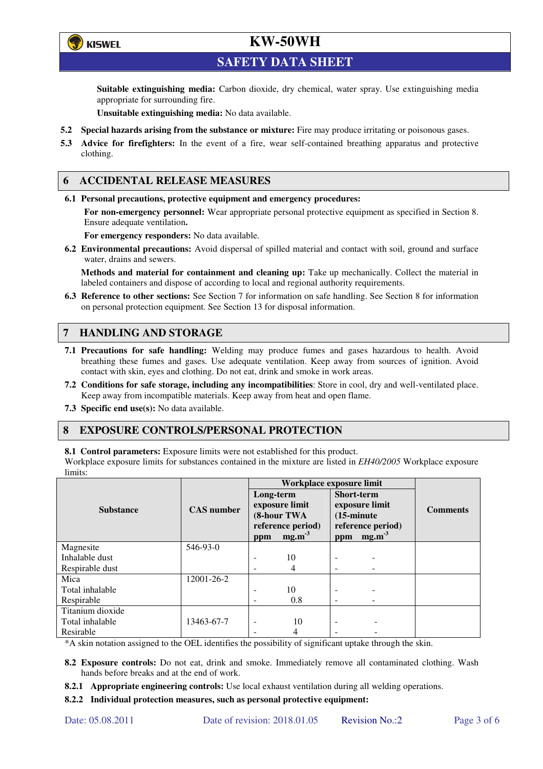

**SAFETY DATA SHEET** 

**Suitable extinguishing media:** Carbon dioxide, dry chemical, water spray. Use extinguishing media appropriate for surrounding fire.

**Unsuitable extinguishing media:** No data available.

- **5.2 Special hazards arising from the substance or mixture:** Fire may produce irritating or poisonous gases.
- **5.3 Advice for firefighters:** In the event of a fire, wear self-contained breathing apparatus and protective clothing.

### **6 ACCIDENTAL RELEASE MEASURES**

**6.1 Personal precautions, protective equipment and emergency procedures:** 

**For non-emergency personnel:** Wear appropriate personal protective equipment as specified in Section 8. Ensure adequate ventilation**.** 

**For emergency responders:** No data available.

**6.2 Environmental precautions:** Avoid dispersal of spilled material and contact with soil, ground and surface water, drains and sewers.

**Methods and material for containment and cleaning up:** Take up mechanically. Collect the material in labeled containers and dispose of according to local and regional authority requirements.

**6.3 Reference to other sections:** See Section 7 for information on safe handling. See Section 8 for information on personal protection equipment. See Section 13 for disposal information.

## **7 HANDLING AND STORAGE**

- **7.1 Precautions for safe handling:** Welding may produce fumes and gases hazardous to health. Avoid breathing these fumes and gases. Use adequate ventilation. Keep away from sources of ignition. Avoid contact with skin, eyes and clothing. Do not eat, drink and smoke in work areas.
- **7.2 Conditions for safe storage, including any incompatibilities**: Store in cool, dry and well-ventilated place. Keep away from incompatible materials. Keep away from heat and open flame.
- **7.3 Specific end use(s):** No data available.

### **8 EXPOSURE CONTROLS/PERSONAL PROTECTION**

**8.1 Control parameters:** Exposure limits were not established for this product.

Workplace exposure limits for substances contained in the mixture are listed in *EH40/2005* Workplace exposure limits:

|                  |                   | Workplace exposure limit                                        |                   |                                                                           |                   |                 |  |
|------------------|-------------------|-----------------------------------------------------------------|-------------------|---------------------------------------------------------------------------|-------------------|-----------------|--|
|                  |                   | Long-term<br>exposure limit<br>(8-hour TWA<br>reference period) |                   | Short-term<br>exposure limit<br>$(15\text{-minute})$<br>reference period) |                   | <b>Comments</b> |  |
| <b>Substance</b> | <b>CAS</b> number |                                                                 |                   |                                                                           |                   |                 |  |
|                  |                   |                                                                 |                   |                                                                           |                   |                 |  |
|                  |                   |                                                                 |                   |                                                                           |                   |                 |  |
|                  |                   | ppm                                                             | mg.m <sup>3</sup> | ppm                                                                       | mg.m <sup>3</sup> |                 |  |
| Magnesite        | 546-93-0          |                                                                 |                   |                                                                           |                   |                 |  |
| Inhalable dust   |                   |                                                                 | 10                |                                                                           |                   |                 |  |
| Respirable dust  |                   | -                                                               | 4                 | -                                                                         |                   |                 |  |
| Mica             | 12001-26-2        |                                                                 |                   |                                                                           |                   |                 |  |
| Total inhalable  |                   | -                                                               | 10                | ۰                                                                         |                   |                 |  |
| Respirable       |                   |                                                                 | 0.8               | -                                                                         |                   |                 |  |
| Titanium dioxide |                   |                                                                 |                   |                                                                           |                   |                 |  |
| Total inhalable  | 13463-67-7        |                                                                 | 10                | -                                                                         |                   |                 |  |
| Resirable        |                   |                                                                 | 4                 |                                                                           |                   |                 |  |

\*A skin notation assigned to the OEL identifies the possibility of significant uptake through the skin.

- **8.2 Exposure controls:** Do not eat, drink and smoke. Immediately remove all contaminated clothing. Wash hands before breaks and at the end of work.
- **8.2.1 Appropriate engineering controls:** Use local exhaust ventilation during all welding operations.

**8.2.2 Individual protection measures, such as personal protective equipment:**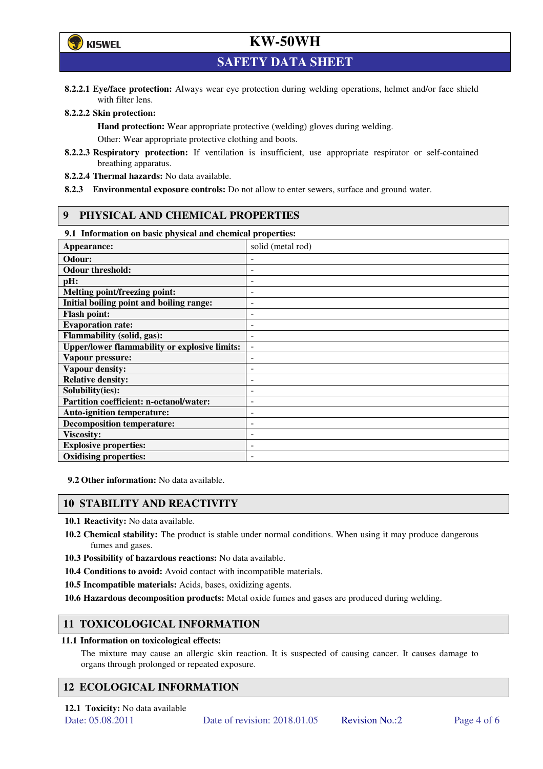

**SAFETY DATA SHEET** 

**8.2.2.1 Eye/face protection:** Always wear eye protection during welding operations, helmet and/or face shield with filter lens.

### **8.2.2.2 Skin protection:**

**Hand protection:** Wear appropriate protective (welding) gloves during welding. Other: Wear appropriate protective clothing and boots.

- **8.2.2.3 Respiratory protection:** If ventilation is insufficient, use appropriate respirator or self-contained breathing apparatus.
- **8.2.2.4 Thermal hazards:** No data available.
- **8.2.3 Environmental exposure controls:** Do not allow to enter sewers, surface and ground water.

### **9 PHYSICAL AND CHEMICAL PROPERTIES**

### **9.1 Information on basic physical and chemical properties:**

| 2.1 - 111101 matron on basic physical and chemical properties. |                          |
|----------------------------------------------------------------|--------------------------|
| Appearance:                                                    | solid (metal rod)        |
| Odour:                                                         |                          |
| <b>Odour threshold:</b>                                        |                          |
| pH:                                                            |                          |
| <b>Melting point/freezing point:</b>                           | -                        |
| Initial boiling point and boiling range:                       | -                        |
| <b>Flash point:</b>                                            | -                        |
| <b>Evaporation rate:</b>                                       |                          |
| Flammability (solid, gas):                                     |                          |
| <b>Upper/lower flammability or explosive limits:</b>           | $\overline{\phantom{a}}$ |
| Vapour pressure:                                               | -                        |
| Vapour density:                                                |                          |
| <b>Relative density:</b>                                       |                          |
| Solubility(ies):                                               |                          |
| Partition coefficient: n-octanol/water:                        | -                        |
| <b>Auto-ignition temperature:</b>                              | -                        |
| <b>Decomposition temperature:</b>                              | ۰                        |
| <b>Viscosity:</b>                                              |                          |
| <b>Explosive properties:</b>                                   | ٠                        |
| <b>Oxidising properties:</b>                                   | -                        |

**9.2 Other information:** No data available.

### **10 STABILITY AND REACTIVITY**

**10.1 Reactivity:** No data available.

- **10.2 Chemical stability:** The product is stable under normal conditions. When using it may produce dangerous fumes and gases.
- **10.3 Possibility of hazardous reactions:** No data available.
- **10.4 Conditions to avoid:** Avoid contact with incompatible materials.
- **10.5 Incompatible materials:** Acids, bases, oxidizing agents.
- **10.6 Hazardous decomposition products:** Metal oxide fumes and gases are produced during welding.

## **11 TOXICOLOGICAL INFORMATION**

### **11.1 Information on toxicological effects:**

The mixture may cause an allergic skin reaction. It is suspected of causing cancer. It causes damage to organs through prolonged or repeated exposure.

## **12 ECOLOGICAL INFORMATION**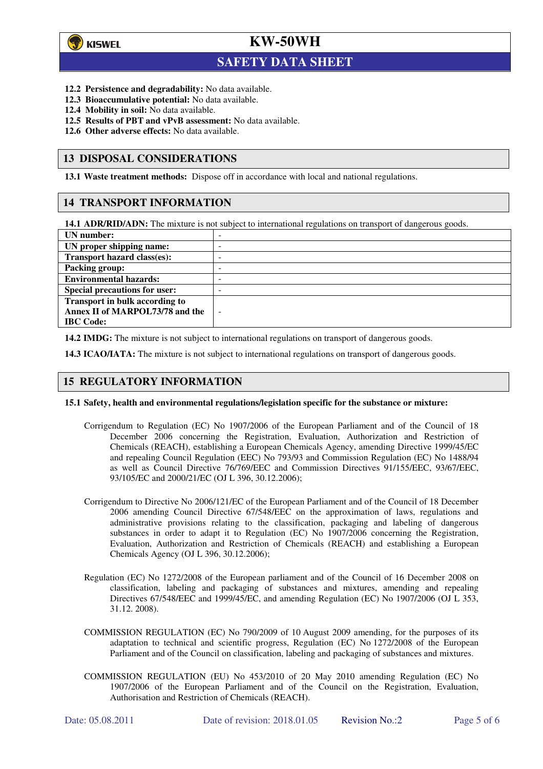

 $\overline{a}$ 

**KW-50WH**

## **SAFETY DATA SHEET**

- **12.2 Persistence and degradability:** No data available.
- **12.3 Bioaccumulative potential:** No data available.
- **12.4 Mobility in soil:** No data available.
- **12.5 Results of PBT and vPvB assessment:** No data available.
- **12.6 Other adverse effects:** No data available.

### **13 DISPOSAL CONSIDERATIONS**

**13.1 Waste treatment methods:** Dispose off in accordance with local and national regulations.

### **14 TRANSPORT INFORMATION**

**14.1 ADR/RID/ADN:** The mixture is not subject to international regulations on transport of dangerous goods.

| UN number:                            | -                        |
|---------------------------------------|--------------------------|
| UN proper shipping name:              | -                        |
| Transport hazard class(es):           | -                        |
| <b>Packing group:</b>                 | -                        |
| <b>Environmental hazards:</b>         | -                        |
| <b>Special precautions for user:</b>  | -                        |
| <b>Transport in bulk according to</b> |                          |
| Annex II of MARPOL73/78 and the       | $\overline{\phantom{a}}$ |
| <b>IBC</b> Code:                      |                          |

**14.2 IMDG:** The mixture is not subject to international regulations on transport of dangerous goods.

**14.3 ICAO/IATA:** The mixture is not subject to international regulations on transport of dangerous goods.

### **15 REGULATORY INFORMATION**

### **15.1 Safety, health and environmental regulations/legislation specific for the substance or mixture:**

- Corrigendum to Regulation (EC) No 1907/2006 of the European Parliament and of the Council of 18 December 2006 concerning the Registration, Evaluation, Authorization and Restriction of Chemicals (REACH), establishing a European Chemicals Agency, amending Directive 1999/45/EC and repealing Council Regulation (EEC) No 793/93 and Commission Regulation (EC) No 1488/94 as well as Council Directive 76/769/EEC and Commission Directives 91/155/EEC, 93/67/EEC, 93/105/EC and 2000/21/EC (OJ L 396, 30.12.2006);
- Corrigendum to Directive No 2006/121/EC of the European Parliament and of the Council of 18 December 2006 amending Council Directive 67/548/EEC on the approximation of laws, regulations and administrative provisions relating to the classification, packaging and labeling of dangerous substances in order to adapt it to Regulation (EC) No 1907/2006 concerning the Registration, Evaluation, Authorization and Restriction of Chemicals (REACH) and establishing a European Chemicals Agency (OJ L 396, 30.12.2006);
- Regulation (EC) No 1272/2008 of the European parliament and of the Council of 16 December 2008 on classification, labeling and packaging of substances and mixtures, amending and repealing Directives 67/548/EEC and 1999/45/EC, and amending Regulation (EC) No 1907/2006 (OJ L 353, 31.12. 2008).
- COMMISSION REGULATION (EC) No 790/2009 of 10 August 2009 amending, for the purposes of its adaptation to technical and scientific progress, Regulation (EC) No 1272/2008 of the European Parliament and of the Council on classification, labeling and packaging of substances and mixtures.
- COMMISSION REGULATION (EU) No 453/2010 of 20 May 2010 amending Regulation (EC) No 1907/2006 of the European Parliament and of the Council on the Registration, Evaluation, Authorisation and Restriction of Chemicals (REACH).